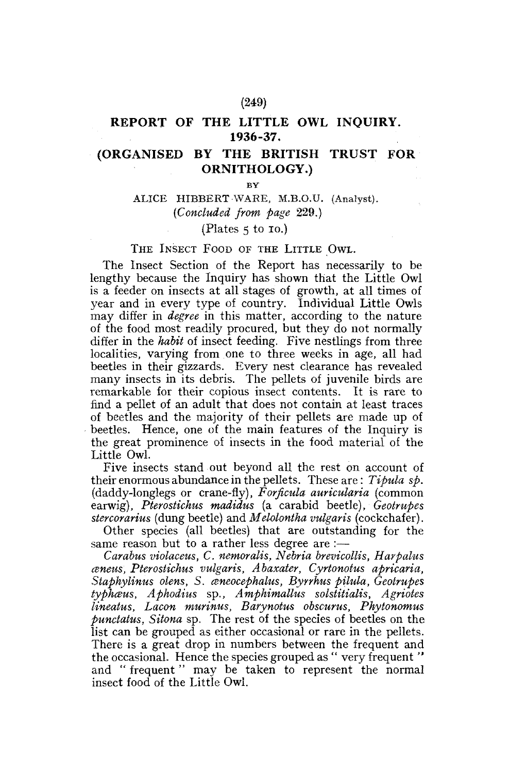# **REPORT OF THE LITTLE OWL INQUIRY. 1936-37.**

# **(ORGANISED BY THE BRITISH TRUST FOR ORNITHOLOGY.)**

**BY** 

# ALICE HIBBERT WARE, M.B.O.U, (Analyst). *(Concluded from page* 229.)

# (Plates 5 to IO.)

### THE INSECT FOOD OF THE LITTLE OWL.

The Insect Section of the Report has necessarily to be lengthy because the Inquiry has shown that the Little Owl is a feeder on insects at all stages of growth, at all times of year and in every type of country. Individual Little Owls may differ in *degree* in this matter, according to the nature of the food most readily procured, but they do not normally differ in the *habit* of insect feeding. Five nestlings from three localities, varying from one to three weeks in age, all had beetles in their gizzards. Every nest clearance has revealed many insects in its debris. The pellets of juvenile birds are remarkable for their copious insect contents. It is rare to find a pellet of an adult that does not contain at least traces of beetles and the majority of their pellets are made up of beetles. Hence, one of the main features of the Inquiry is the great prominence of insects in the food material of the Little Owl.

Five insects stand out beyond all the rest on account of their enormous abundance in the pellets. These are: *Tipula sp.*  (daddy-longlegs or crane-fly), *Forficula auricularia* (common earwig), *Pterostichus madidus* (a carabid beetle), *Geotrupes stercorarius* (dung beetle) and *Melolontha vulgaris* (cockchafer).

Other species (all beetles) that are outstanding for the same reason but to a rather less degree are :—

*Carabus violaceus, C, nemoralis, Nebria brevicottis, Harpalus aneits, Pterostichus vulgaris, Abaxater, Cyrtonotus apricaria, Staphylinus olens, S. ceneocephalus, Byrrhus pilula, Geotrupes typhaus, Aphodius* sp., *Amphimallus solstitialis, Agriotes lineatus, Lacon murinus, Barynotus obscurus, Phytonomus punctatus, Sitona* sp. The rest of the species of beetles on the list can be grouped as either occasional or rare in the pellets. There is a great drop in numbers between the frequent and the occasional. Hence the species grouped as " very frequent " and " frequent" may be taken to represent the normal insect food of the Little Owl.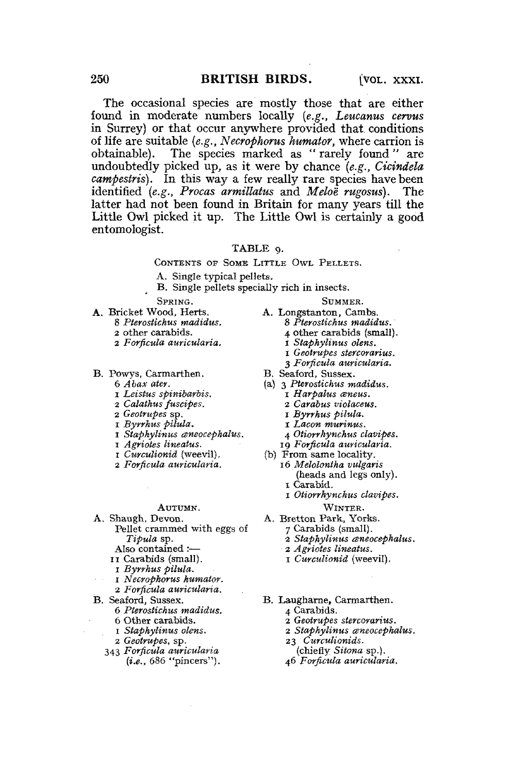The occasional species are mostly those that are either found in moderate numbers locally *(e.g., Leucanus cervus*  in Surrey) or that occur anywhere provided that conditions of life are suitable *{e.g., Necrophorus humator,* where carrion is obtainable). The species marked as " rarely found " are undoubtedly picked up, as it were by chance *{e.g., Cicindela campestris).* In this way a few really rare species have been identified (e.g., Procas armillatus and Meloe rugosus). The latter had not been found in Britain for many years till the Little Owl picked it up. The Little Owl is certainly a good entomologist.

#### TABLE 9.

CONTENTS OF SOME LITTLE OWL PELLETS.

A. Single typical pellets.

B. Single pellets specially rich in insects.

SPRING.

- A. Bricket Wood, Herts.
	- 8 *Pterosiichus madidus.*
	- 2 other carabids.
	- 2 *Forficula auricularia.*
- B. Powys, Carmarthen.
	- 6 *Abax ater.*
	- *l Leistus spinibarbis.*
	- 2 *Calathus fuscipes.*
	- 2 *Geotrupes* sp.
	- t *Byrrhus pilula.*
	- *I* Staphylinus aneocephalus.
	- i *Agriotes lineatus.*
	- I *Curculionid* (weevil).
	- 2 *Forficula auricularia.*

#### AUTUMN.

- A. Shaugh, Devon. Pellet crammed with eggs of *Tipula* sp.
	- Also contained :—
	- II Carabids (small).
		- I *Byrrhus pilula.*
	- 1 *Necrophorus humator.*
	- 2 *Forficula auricularia.*
- B. Seaford, Sussex.
	- 6 *Pterostichus madidus.*
	- 6 Other carabids.
	- 1 *Stapkylinus olens,*
	- *2 Geotrupes,* sp.
	- 343 *Forficula auricularia (i.e.,* 686 "pincers").
- A. Longstanton, Cambs. 8 *Pterosiichus madidus.* 
	- 4 other carabids (small).

SUMMER.

- i *Stapkylinus olens.*
- i *Geotrupes stercomrius.*
- 3 *Forficula auricularia.*
- B. Seaford, Sussex.
- (a) 3 *Pterosiichus madidus.* 
	- I *Harpahts csneus.*
	- 2 *Carabus violaceus.*
	- I *Byrrhus pilula.*
	- *i Lacon murinus.*
	- 4 *Otiorrhynchus clavipes.*
	- 19 *Forficula auricularia.*
- (b) From same locality. 16 *Melolontha vulgaris* 
	- (heads and legs only). I Carabid.
	- i *Otiorrhynchus clavipes.* 
		- WINTER.
- A. Bretton Park, Yorks.
	- 7 Carabids (small).
		- 2 *Stapkylinus aneocephalus.*
	- 2 *Agriotes lineatus.*
	- i *Curculionid* (weevil).
- B. Laugharne, Carmarthen.
	- 4 Carabids.
	- 2 *Geotrupes stercorarius.*
	- *2 Stapkylinus aneocephalus.*
	- 23 *Curculionids.*
	- (chiefly *Sitona* sp.).
	- 46 *Forficula auricularia.*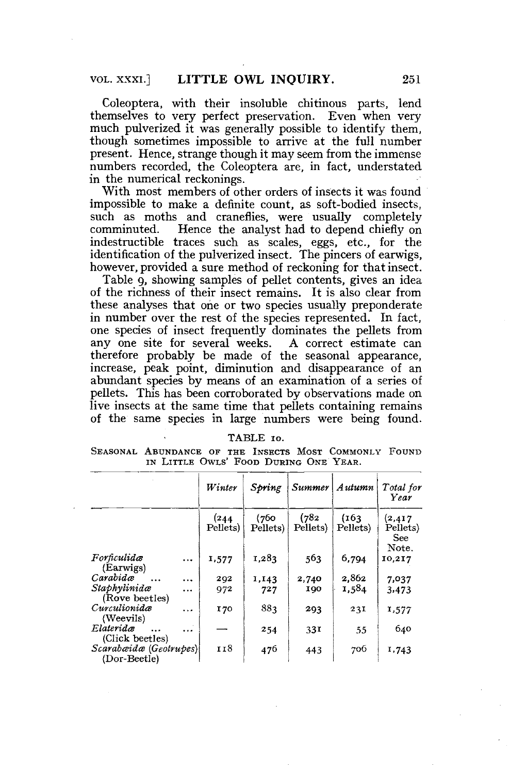Coleoptera, with their insoluble chitinous parts, lend themselves to very perfect preservation. Even when very much pulverized it was generally possible to identify them, though sometimes impossible to arrive at the full number present. Hence, strange though it may seem from the immense numbers recorded, the Coleoptera are, in fact, understated in the numerical reckonings.

With most members of other orders of insects it was found impossible to make a definite count, as soft-bodied insects, such as moths and craneflies, were usually completely comminuted. Hence the analyst had to depend chiefly on Hence the analyst had to depend chiefly on indestructible traces such as scales, eggs, etc., for the identification of the pulverized insect. The pincers of earwigs, however, provided a sure method of reckoning for that insect.

Table 9, showing samples of pellet contents, gives an idea of the richness of their insect remains. It is also clear from these analyses that one or two species usually preponderate in number over the rest of the species represented. In fact, one species of insect frequently dominates the pellets from any one site for several weeks. A correct estimate can therefore probably be made of the seasonal appearance, increase, peak point, diminution and disappearance of an abundant species by means of an examination of a series of pellets. This has been corroborated by observations made on live insects at the same time that pellets containing remains of the same species in large numbers were being found.

| <b>TABLE</b><br>TΩ. |
|---------------------|
|---------------------|

SEASONAL ABUNDANCE OF THE INSECTS MOST COMMONLY FOUND IN LITTLE OWLS' FOOD DURING ONE YEAR.

|                                        |           | Winter           | Spring            | <i>Summer</i>     | Autumn            | Total for<br>Year                    |
|----------------------------------------|-----------|------------------|-------------------|-------------------|-------------------|--------------------------------------|
|                                        |           | (244<br>Pellets) | (760)<br>Pellets) | (782)<br>Pellets) | (163)<br>Pellets) | (2, 417)<br>Pellets)<br>See<br>Note. |
| Forficulidæ<br>(Earwigs)               | $\ddotsc$ | 1,577            | 1,283             | 563               | 6,794             | 10,217                               |
| Carabidæ                               | $\ddotsc$ | 292              | 1,143             | 2,740             | 2.862             | 7,037                                |
| Staphylinidæ<br>(Rove beetles)         | $\cdots$  | 972              | 727               | 190               | 1,584             | 3,473                                |
| Curculionida<br>(Weevils)              | $\cdots$  | 170              | 883               | 293               | 231               | 1,577                                |
| Elateridæ<br>(Click beetles)           | .         |                  | 254               | 33 <sup>T</sup>   | 55                | 640                                  |
| Scarabæidæ (Geotrupes)<br>(Dor-Beetle) |           | 118              | 476               | 443               | 706               | 1,743                                |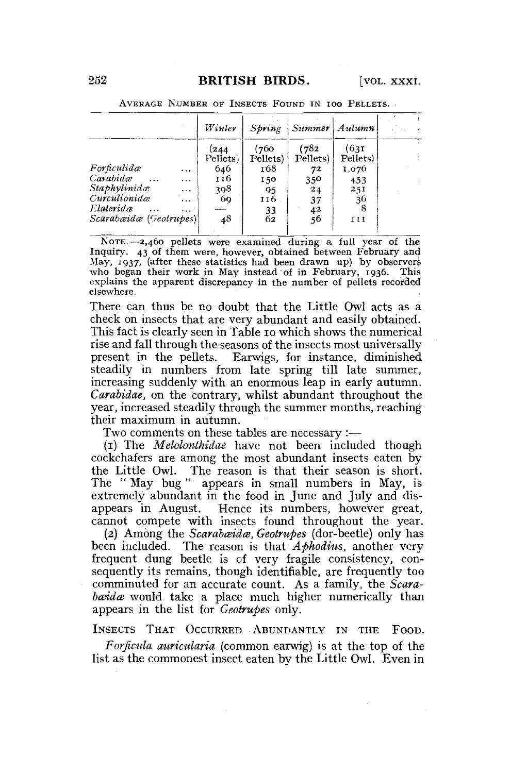|                        |          | Winter   | Spring   | Summer Autumn |          |  |
|------------------------|----------|----------|----------|---------------|----------|--|
|                        |          | (244     | (760)    | (782)         | (631)    |  |
|                        |          | Pellets) | Pellets) | Pellets)      | Pellets) |  |
| Forficulidæ            | $\cdots$ | 646      | 168      | 72            | 1,076    |  |
| Carabidae              |          | 116      | 150      | 350           | 453      |  |
| Staphylinidæ           | $\cdots$ | 398      | 95       | 24            | 251      |  |
| Curculionidæ           | $\cdots$ | 69       | 116      | 37            | 36       |  |
| Elateridæ              | $-0.00$  |          | 33       |               |          |  |
| Scarabæidæ (Geotrupes) |          | 48       | 62       | $^{42}_{56}$  | II       |  |

AVERAGE NUMBER OF INSECTS FOUND IN IOO PELLETS. .

NOTE.—2,460 pellets were examined during a full year of the Inquiry. 43 of them were, however, obtained between February and May, 1937, (after these statistics had been drawn up) by observers who began their work in May instead of in February, 1936. This explains the apparent discrepancy in the number of pellets recorded elsewhere.

There can thus be no doubt that the Little Owl acts as a check on insects that are very abundant and easily obtained. This fact is clearly seen in Table 10 which shows the numerical rise and fall through the seasons of the insects most universally present in the pellets. Earwigs, for instance, diminished steadily in numbers from late spring till late summer, increasing suddenly with an enormous leap in early autumn. *Carabidae,* on the contrary, whilst abundant throughout the year, increased steadily through the summer months, reaching their maximum in autumn.

Two comments on these tables are necessary :—

(1) The *Melolonthidae* have not been included though cockchafers are among the most abundant insects eaten by the Little Owl. The reason is that their season is short. The " May bug " appears in small numbers in May, is extremely abundant in the food in June and July and disappears in August. Hence its numbers, however great, cannot compete with insects found throughout the year.

(2) Among the *Scarabæidæ*, Geotrupes (dor-beetle) only has been included. The reason is that *Aphodius,* another very frequent dung beetle is of very fragile consistency, consequently its remains, though identifiable, are frequently too comminuted for an accurate count. As a family, the *Scarabæidæ* would take a place much higher numerically than appears in the list for *Geotrupes* only.

INSECTS THAT OCCURRED ABUNDANTLY IN THE FOOD.

*Forficula auricnlaria* (common earwig) is at the top of the list as the commonest insect eaten by the Little Owl. Even in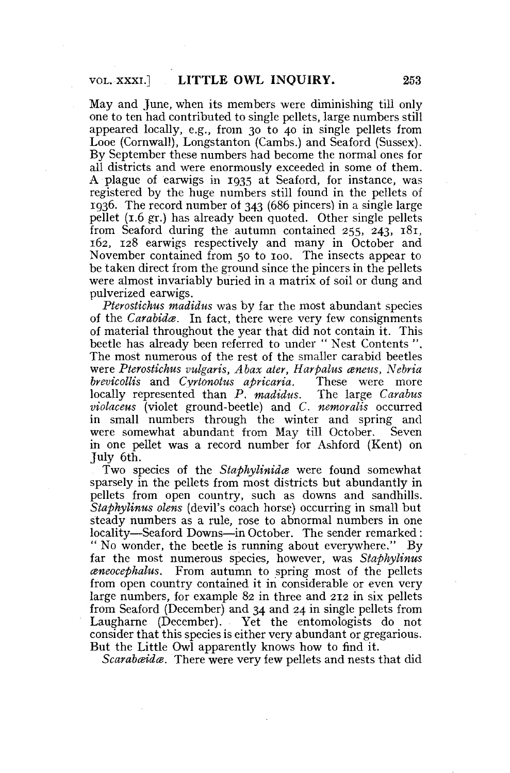May and June, when its members were diminishing till only one to ten had contributed to single pellets, large numbers still appeared locally, e.g., from 30 to 40 in single pellets from Looe (Cornwall), Longstanton (Cambs.) and Seaford (Sussex). By September these numbers had become the normal ones for all districts and were enormously exceeded in some of them. A plague of earwigs in 1935 at Seaford, for instance, was registered by the huge numbers still found in the pellets of 1936. The record number of 343 (686 pincers) in a single large pellet (1.6 gr.) has already been quoted. Other single pellets from Seaford during the autumn contained 255, 243, 181, 162, 128 earwigs respectively and many in October and November contained from 50 to 100. The insects appear to be taken direct from the ground since the pincers in the pellets were almost invariably buried in a matrix of soil or dung and pulverized earwigs.

*Pterostiehus madidus* was by far the most abundant species of the *Carabida*. In fact, there were very few consignments of material throughout the year that did not contain it. This beetle has already been referred to under " Nest Contents ". The most numerous of the rest of the smaller carabid beetles were *Pterostiehus vulgaris, Abax ater, Harpalus aneus, Nebria brevicollis* and *Cyrtonotus apricaria.* These were more locally represented than *P, madidus.* The large *Carabus violaceus* (violet ground-beetle) and *C. nemoralis* occurred in small numbers through the winter and spring and were somewhat abundant from May till October. Seven in one pellet was a record number for Ashford (Kent) on July 6tn.

Two species of the *Staphylinida* were found somewhat sparsely in the pellets from most districts but abundantly in pellets from open country, such as downs and sandhills. *Staphylinus olens* (devil's coach horse) occurring in small but steady numbers as a rule, rose to abnormal numbers in one locality—Seaford Downs—in October. The sender remarked: " No wonder, the beetle is running about everywhere." By far the most numerous species, however, was *Staphylinus mneocephalus.* From autumn to spring most of the pellets from open country contained it in considerable or even very large numbers, for example 82 in three and 212 in six pellets from Seaford (December) and 34 and 24 in single pellets from Laugharne (December). Yet the entomologists do not consider that this species is either very abundant or gregarious. But the Little Owl apparently knows how to find it.

*Scarabæidæ.* There were very few pellets and nests that did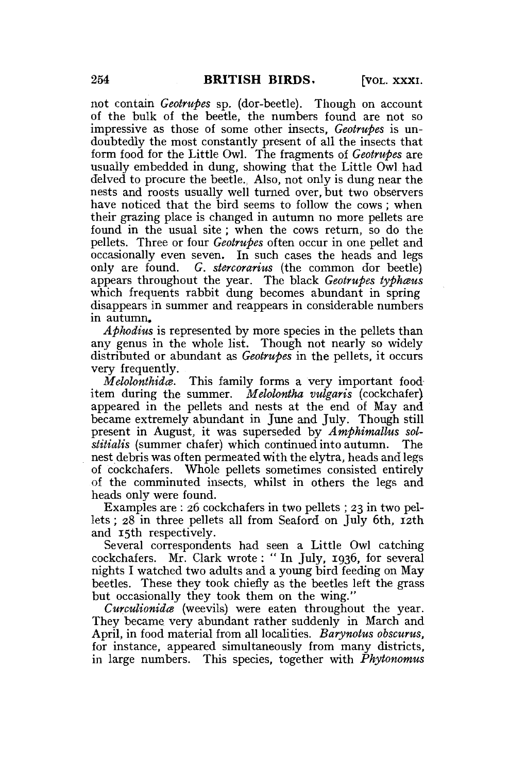not contain *Geotrupes* sp. (dor-beetle). Though on account of the bulk of the beetle, the numbers found are not so impressive as those of some other insects, *Geotrupes* is undoubtedly the most constantly present of all the insects that form food for the Little Owl. The fragments of *Geotrupes* are usually embedded in dung, showing that the Little Owl had delved to procure the beetle., Also, not only is dung near the nests and roosts usually well turned over, but two observers have noticed that the bird seems to follow the cows; when their grazing place is changed in autumn no more pellets are found in the usual site; when the cows return, so do the pellets. Three or four *Geotrupes* often occur in one pellet and occasionally even seven. In such cases the heads and legs only are found. *G. stercorarius* (the common dor beetle) appears throughout the year. The black *Geotrupes typhaus*  which frequents rabbit dung becomes abundant in spring disappears in summer and reappears in considerable numbers in autumn.

*Aphodius* is represented by more species in the pellets than any genus in the whole list. Though not nearly so widely distributed or abundant as *Geotrupes* in the pellets, it occurs very frequently.

*Melolonthidce.* This family forms a very important fooditem during the summer. *Melolontha vulgaris* (cockchafer) appeared in the pellets and nests at the end of May and became extremely abundant in June and July. Though still present in August, it was superseded by *Amphimallus solstitialis* (summer chafer) which continued into autumn. The nest debris was often permeated with the elytra, heads and legs of cockchafers. Whole pellets sometimes consisted entirely of the comminuted insects, whilst in others the legs and heads only were found.

Examples are : 26 cockchafers in two pellets ; 23 in two pellets ; 28 in three pellets all from Seaford on July 6th, 12th and 15th respectively.

Several correspondents had seen a Little Owl catching cockchafers. Mr. Clark wrote: " In July, 1936, for several nights I watched two adults and a young bird feeding on May beetles. These they took chiefly as the beetles left the grass but occasionally they took them on the wing."

*Curculionidce* (weevils) were eaten throughout the year. They became very abundant rather suddenly in March and April, in food material from all localities. *Barynotus obscurus,*  for instance, appeared simultaneously from many districts, in large numbers. This species, together with *Phytonomus*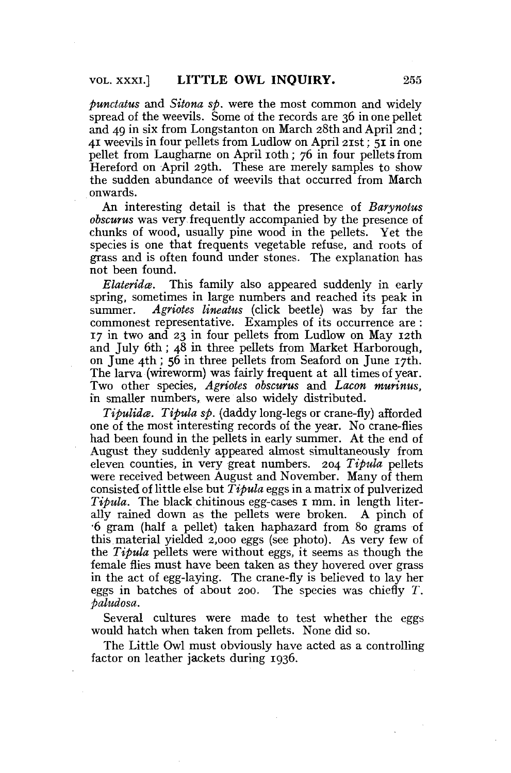*punctatus* and *Sitona sp.* were the most common and widely spread of the weevils. Some of the records are 36 in one pellet and 49 in six from Longstanton on March 28th and April 2nd; 41 weevils in four pellets from Ludlow on April 21st; 51 in one pellet from Laugharne on April 10th; 76 in four pellets from Hereford on April 29th. These are merely samples to show the sudden abundance of weevils that occurred from March onwards.

An interesting detail is that the presence of *Barynotus obscurus* was very frequently accompanied by the presence of chunks of wood, usually pine wood in the pellets. Yet the species is one that frequents vegetable refuse, and roots of grass and is often found under stones. The explanation has not been found.

*Elaterida.* This family also appeared suddenly in early spring, sometimes in large numbers and reached its peak in summer. *Agriotes lineatus* (click beetle) was by far the commonest representative. Examples of its occurrence are : 17 in two and 23 in four pellets from Ludlow on May 12th and July 6th; 48 in three pellets from Market Harborough, on June 4th ; 56 in three pellets from Seaford on June 17th. The larva (wireworm) was fairly frequent at all times of year. Two other species, *Agriotes obscurus* and *Lacon murinus,*  in smaller numbers, were also widely distributed.

*Tipulida. Tipula sp.* {daddy long-legs or crane-fly) afforded one of the most interesting records of the year. No crane-flies had been found in the pellets in early summer. At the end of August they suddenly appeared almost simultaneously from eleven counties, in very great numbers. 204 *Tipula* pellets were received between August and November. Many of them consisted of little else but *Tipula* eggs in a matrix of pulverized *Tipula*. The black chitinous egg-cases 1 mm. in length literally rained down as the pellets were broken. A pinch of •6 gram (half a pellet) taken haphazard from 80 grams of this material yielded 2,000 eggs (see photo). As very few of the *Tipula* pellets were without eggs, it seems as though the female flies must have been taken as they hovered over grass in the act of egg-laying. The crane-fly is believed to lay her eggs in batches of about 200. The species was chiefly *T. Paludosa.* 

Several cultures were made to test whether the eggs would hatch when taken from pellets. None did so.

The Little Owl must obviously have acted as a controlling factor on leather jackets during 1936.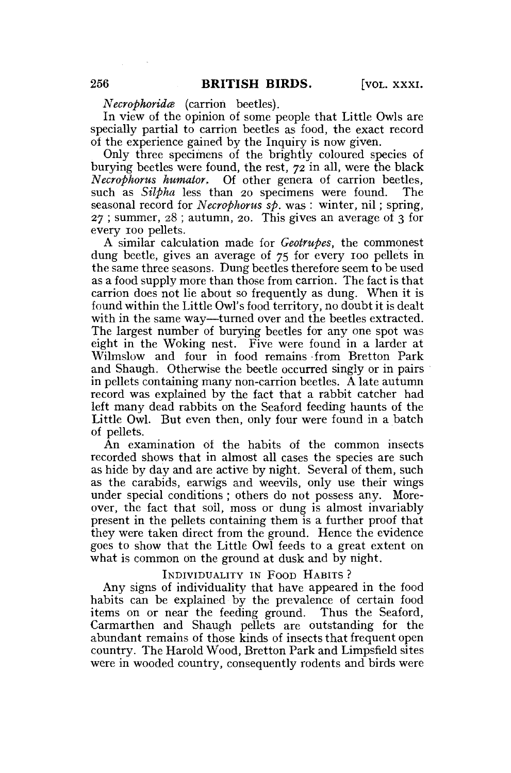*Necrophorida* (carrion beetles).

In view of the opinion of some people that Little Owls are specially partial to carrion beetles as food, the exact record of the experience gained by the Inquiry is now given.

Only three specimens of the brightly coloured species of burying beetles were found, the rest,  $72$  in all, were the black *Necrophorus humator.* Of other genera of carrion beetles, such as *Silpha* less than 20 specimens were found. The seasonal record for *Necrophorus sp.* was : winter, nil; spring, 27 ; summer, 28 ; autumn, 20. This gives an average of 3 for every 100 pellets.

A similar calculation made for *Geotrupes,* the commonest dung beetle, gives an average of 75 for every 100 pellets in the same three seasons. Dung beetles therefore seem to be used as a food supply more than those from carrion. The fact is that carrion does not lie about so frequently as dung. When it is found within the Little Owl's food territory, no doubt it is dealt with in the same way—turned over and the beetles extracted. The largest number of burying beetles for any one spot was eight in the Woking nest. Five were found in a larder at Wilmslow and four in food remains from Bretton Park and Shaugh. Otherwise the beetle occurred singly or in pairs in pellets containing many non-carrion beetles. A late autumn record was explained by the fact that a rabbit catcher had left many dead rabbits on the Seaford feeding haunts of the Little Owl. But even then, only four were found in a batch of pellets.

An examination of the habits of the common insects recorded shows that in almost all cases the species are such as hide by day and are active by night. Several of them, such as the carabids, earwigs and weevils, only use their wings under special conditions ; others do not possess any. Moreover, the fact that soil, moss or dung is almost invariably present in the pellets containing them is a further proof that they were taken direct from the ground. Hence the evidence goes to show that the Little Owl feeds to a great extent on what is common on the ground at dusk and by night.

#### INDIVIDUALITY IN FOOD HABITS ?

Any signs of individuality that have appeared in the food habits can be explained by the prevalence of certain food items on or near the feeding ground. Thus the Seaford, Carmarthen and Shaugh pellets are outstanding for the abundant remains of those kinds of insects that frequent open country. The Harold Wood, Bretton Park and Limpsfield sites were in wooded country, consequently rodents and birds were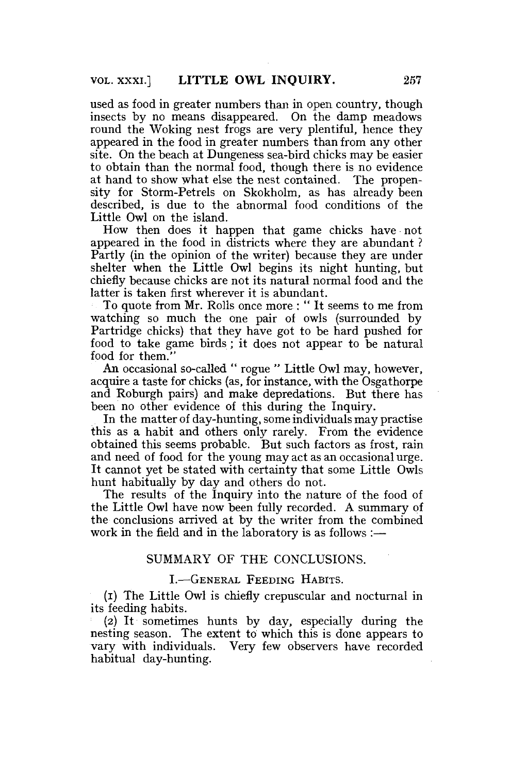used as food in greater numbers than in open country, though insects by no means disappeared. On the damp meadows round the Woking nest frogs are very plentiful, hence they appeared in the food in greater numbers than from any other site. On the beach at Dungeness sea-bird chicks may be easier to obtain than the normal food, though there is no evidence at hand to show what else the nest contained. The propensity for Storm-Petrels on Skokholm, as has already been described, is due to the abnormal food conditions of the Little Owl on the island.

How then does it happen that game chicks have not appeared in the food in districts where they are abundant ? Partly (in the opinion of the writer) because they are under shelter when the Little Owl begins its night hunting, but chiefly because chicks are not its natural normal food and the latter is taken first wherever it is abundant.

To quote from Mr. Rolls once more : " It seems to me from watching so much the one pair of owls (surrounded by Partridge chicks) that they have got to be hard pushed for food to take game birds; it does not appear to be natural food for them."

An occasional so-called " rogue " Little Owl may, however, acquire a taste for chicks (as, for instance, with the Osgathorpe and Roburgh pairs) and make depredations. But there has been no other evidence of this during the Inquiry.

In the matter of day-hunting, some individuals may practise this as a habit and others only rarely. From the evidence obtained this seems probable. But such factors as frost, rain and need of food for the young may act as an occasional urge. It cannot yet be stated with certainty that some Little Owls hunt habitually by day and others do not.

The results of the Inquiry into the nature of the food of the Little Owl have now been fully recorded. A summary of the conclusions arrived at by the writer from the combined work in the field and in the laboratory is as follows :—

# SUMMARY OF THE CONCLUSIONS.

## I.—GENERAL FEEDING HABITS.

(I) The Little Owl is chiefly crepuscular and nocturnal in its feeding habits.

(2) It sometimes hunts by day, especially during the nesting season. The extent to which this is done appears to vary with individuals. Very few observers have recorded habitual day-hunting.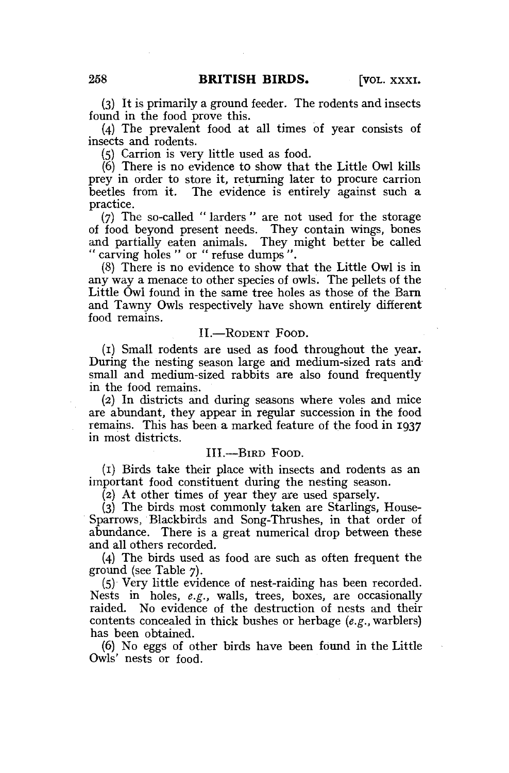(3) It is primarily a ground feeder. The rodents and insects found in the food prove this.

(4) The prevalent food at all times of year consists of insects and rodents.

(5) Carrion is very little used as food.

(6) There is no evidence to show that the Little Owl kills prey in order to store it, returning later to procure carrion beetles from it. The evidence is entirely against such a practice.

(7) The so-called " larders " are not used for the storage of food beyond present needs. They contain wings, bones and partially eaten animals. They might better be called " carving holes " or " refuse dumps ".

(8) There is no evidence to show that the Little Owl is in any way a menace to other species of owls. The pellets of the Little Owl found in the same tree holes as those of the Barn and Tawny Owls respectively have shown entirely different food remains.

### II.—RODENT FOOD.

(1) Small rodents are used as food throughout the year. During the nesting season large and medium-sized rats and small and medium-sized rabbits are also found frequently in the food remains.

(2) In districts and during seasons where voles and mice are abundant, they appear in regular succession in the food remains. This has been a marked feature of the food in 1937 in most districts.

## III.—BIRD FOOD.

(1) Birds take their place with insects and rodents as an important food constituent during the nesting season.

(2) At other times of year they are used sparsely.

(3) The birds most commonly taken are Starlings, House-Sparrows, Blackbirds and Song-Thrushes, in that order of abundance. There is a great numerical drop between these and all others recorded.

(4) The birds used as food are such as often frequent the ground (see Table 7).

(5) Very little evidence of nest-raiding has been recorded. Nests in holes, *e.g.,* walls, trees, boxes, are occasionally raided. No evidence of the destruction of nests and their contents concealed in thick bushes or herbage *(e.g.,* warblers) has been obtained.

(6) No eggs of other birds have been found in the Little Owls' nests or food.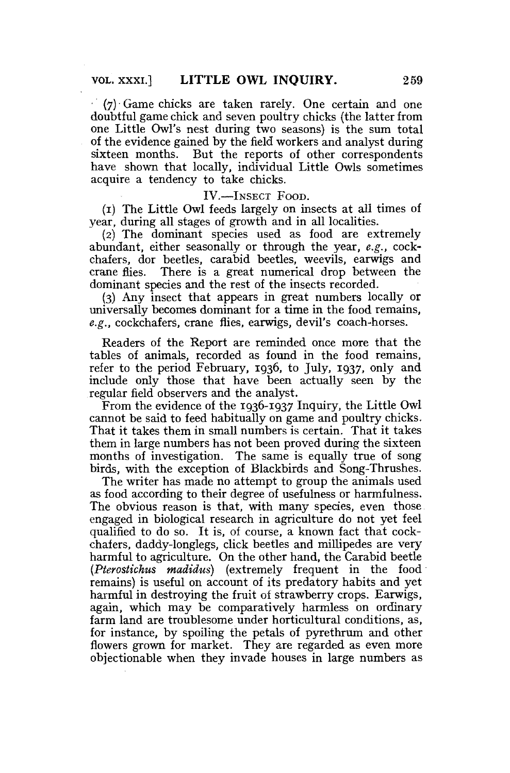(7) Game chicks are taken rarely. One certain and one doubtful game chick and seven poultry chicks (the latter from one Little Owl's nest during two seasons) is the sum total of the evidence gained by the field workers and analyst during sixteen months. But the reports of other correspondents have shown that locally, individual Little Owls sometimes acquire a tendency to take chicks.

IV.—INSECT FOOD.

(1) The Little Owl feeds largely on insects at all times of year, during all stages of growth and in all localities.

(2) The dominant species used as food are extremely abundant, either seasonally or through the year, *e.g.,* cockchafers, dor beetles, carabid beetles, weevils, earwigs and crane flies. There is a great numerical drop between the dominant species and the rest of the insects recorded.

(3) Any insect that appears in great numbers locally or universally becomes dominant for a time in the food remains, *e.g.,* cockchafers, crane flies, earwigs, devil's coach-horses.

Readers of the Report are reminded once more that the tables of animals, recorded as found in the food remains, refer to the period February, 1936, to July, 1937, only and include only those that have been actually seen by the regular field observers and the analyst.

From the evidence of the 1936-1937 Inquiry, the Little Owl cannot be said to feed habitually on game and poultry chicks. That it takes them in small numbers is certain. That it takes them in large numbers has not been proved during the sixteen months of investigation. The same is equally true of song birds, with the exception of Blackbirds and Song-Thrushes.

The writer has made no attempt to group the animals used as food according to their degree of usefulness or harmfulness. The obvious reason is that, with many species, even those. engaged in biological research in agriculture do not yet feel qualified to do so. It is, of course, a known fact that cockchafers, daddy-longlegs, click beetles and millipedes are very harmful to agriculture. On the other hand, the Carabid beetle *(Pterostichus madidus)* (extremely frequent in the food remains) is useful on account of its predatory habits and yet harmful in destroving the fruit of strawberry crops. Earwigs, again, which may be comparatively harmless on ordinary farm land are troublesome under horticultural conditions, as, for instance, by spoiling the petals of pyrethrum and other flowers grown for market. They are regarded as even more objectionable when they invade houses in large numbers as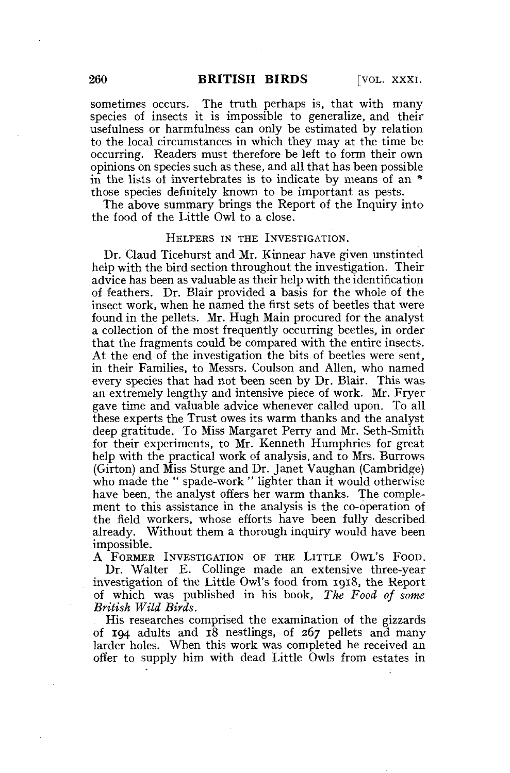sometimes occurs. The truth perhaps is, that with many species of insects it is impossible to generalize, and their usefulness or harmfulness can only be estimated by relation to the local circumstances in which they may at the time be occurring. Readers must therefore be left to form their own opinions on species such as these, and all that has been possible in the lists of invertebrates is to indicate by means of an \* those species definitely known to be important as pests.

The above summary brings the Report of the Inquiry into the food of the Little Owl to a close.

### HELPERS IN THE INVESTIGATION.

Dr. Claud Ticehurst and Mr. Kinnear have given unstinted help with the bird section throughout the investigation. Their advice has been as valuable as their help with the identification of feathers. Dr. Blair provided a basis for the whole of the insect work, when he named the first sets of beetles that were found in the pellets. Mr. Hugh Main procured for the analyst a collection of the most frequently occurring beetles, in order that the fragments could be compared with the entire insects. At the end of the investigation the bits of beetles were sent, in their Families, to Messrs. Coulson and Allen, who named every species that had not been seen by Dr. Blair. This was an extremely lengthy and intensive piece of work. Mr. Fryer gave time and valuable advice whenever called upon. To all these experts the Trust owes its warm thanks and the analyst deep gratitude. To Miss Margaret Perry and Mr. Seth-Smith for their experiments, to Mr. Kenneth Humphries for great help with the practical work of analysis, and to Mrs. Burrows (Girton) and Miss Sturge and Dr. Janet Vaughan (Cambridge) who made the " spade-work " lighter than it would otherwise have been, the analyst offers her warm thanks. The complement to this assistance in the analysis is the co-operation of the field workers, whose efforts have been fully described already. Without them a thorough inquiry would have been impossible.

A FORMER INVESTIGATION OF THE LITTLE OWL'S FOOD. Dr. Walter E. Collinge made an extensive three-year investigation of the Little Owl's food from 1918, the Report of which was published in his book, *The Food of some British Wild Birds.* 

His researches comprised the examination of the gizzards of 194 adults and 18 nestlings, of 267 pellets and many larder holes. When this work was completed he received an offer to supply him with dead Little Owls from estates in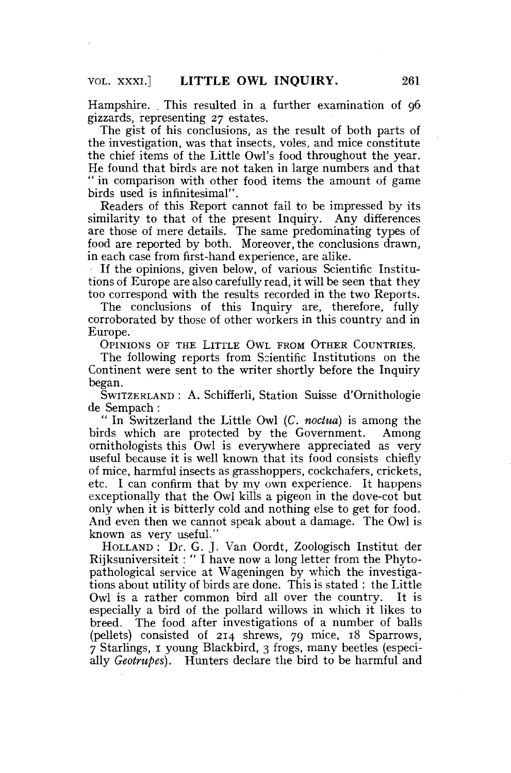Hampshire. This resulted in a further examination of 96 gizzards, representing 27 estates.

The gist of his conclusions, as the result of both parts of the investigation, was that insects, voles, and mice constitute the chief items of the Little Owl's food throughout the year. He found that birds are not taken in large numbers and that " in comparison with other food items the amount of game birds used is infinitesimal".

Readers of this Report cannot fail to be impressed by its similarity to that of the present Inquiry. Any differences are those of mere details. The same predominating types of food are reported by both. Moreover, the conclusions drawn, in each case from first-hand experience, are alike.

If the opinions, given below, of various Scientific Institutions of Europe are also carefully read, it will be seen that they too correspond with the results recorded in the two Reports.

The conclusions of this Inquiry are, therefore, fully corroborated by those of other workers in this country and in Europe.

OPINIONS OF THE LITTLE OWL FROM OTHER COUNTRIES.

The following reports from Scientific Institutions on the Continent were sent to the writer shortly before the Inquiry began.

SWITZERLAND : A. Schifferli, Station Suisse d'Ornithologie de Sempach :

" In Switzerland the Little Owl (C. *noctua)* is among the birds which are protected by the Government. Among ornithologists this Owl is everywhere appreciated as very useful because it is well known that its food consists chiefly of mice, harmful insects as grasshoppers, cockchafers, crickets, etc. I can confirm that by my own experience. It happens exceptionally that the Owl kills a pigeon in the dove-cot but only when it is bitterly cold and nothing else to get for food. And even then we cannot speak about a damage. The Owl is known as very useful."

HOLLAND : Dr. G. J. Van Oordt, Zoologisch Institut der Rijksuniversiteit: " I have now a long letter from the Phytopathological service at Wageningen by which the investigations about utility of birds are done. This is stated : the Little Owl is a rather common bird all over the country. It is especially a bird of the pollard willows in which it likes to breed. The food after investigations of a number of balls (pellets) consisted of 214 shrews, 79 mice, 18 Sparrows, 7 Starlings, 1 young Blackbird, 3 frogs, many beetles (especially *Geotrupes).* Hunters declare the bird to be harmful and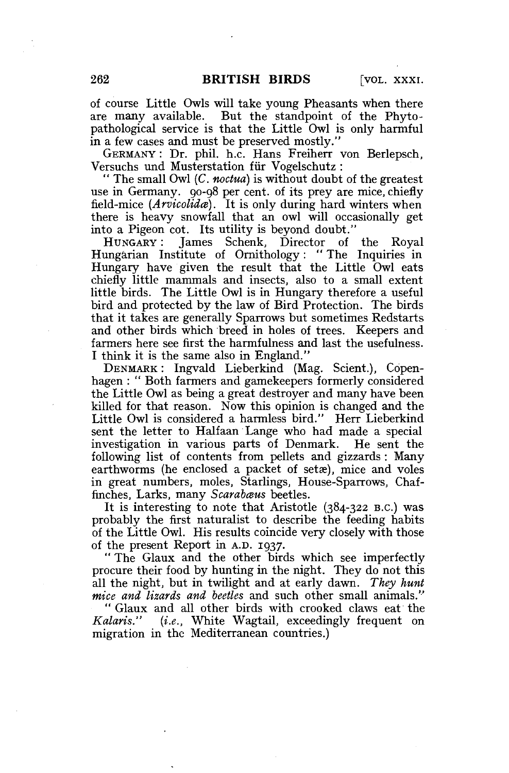of course Little Owls will take young Pheasants when there are many available. But the standpoint of the Phytopathological service is that the Little Owl is only harmful in a few cases and must be preserved mostly."

GERMANY : Dr. phil. h.c. Hans Freiherr von Berlepsch, Versuchs und Musterstation für Vogelschutz:

" The small Owl (C. *noctua)* is without doubt of the greatest use in Germany. 90-98 per cent, of its prey are mice, chiefly field-mice (*Arvicolida*). It is only during hard winters when there is heavy snowfall that an owl will occasionally get into a Pigeon cot. Its utility is beyond doubt."

HUNGARY : James Schenk, Director of the Royal Hungarian Institute of Ornithology: " The Inquiries in Hungary have given the result that the Little Owl eats chiefly little mammals and insects, also to a small extent little birds. The Little Owl is in Hungary therefore a useful bird and protected by the law of Bird Protection. The birds that it takes are generally Sparrows but sometimes Redstarts and other birds which breed in holes of trees. Keepers and farmers here see first the harmfulness and last the usefulness. I think it is the same also in England."

DENMARK : Ingvald Lieberkind (Mag. Scient.), Copenhagen : " Both farmers and gamekeepers formerly considered the Little Owl as being a great destroyer and many have been killed for that reason. Now this opinion is changed and the Little Owl is considered a harmless bird." Herr Lieberkind sent the letter to Halfaan Lange who had made a special investigation in various parts of Denmark. He sent the following list of contents from pellets and gizzards: Many earthworms (he enclosed a packet of setæ), mice and voles in great numbers, moles, Starlings, House-Sparrows, Chaffinches, Larks, many *Scarabaus* beetles.

It is interesting to note that Aristotle (384-322 B.C.) was probably the first naturalist to describe the feeding habits of the Little Owl. His results coincide very closely with those of the present Report in A.D. 1937.

" The Glaux and the other birds which see imperfectly procure their food by hunting in the night. They do not this all the night, but in twilight and at early dawn. *They hunt mice and lizards and beetles* and such other small animals."

" Glaux and all other birds with crooked claws eat the Kalaris." (i.e., White Wagtail, exceedingly frequent on *(i.e.,* White Wagtail, exceedingly frequent on migration in the Mediterranean countries.)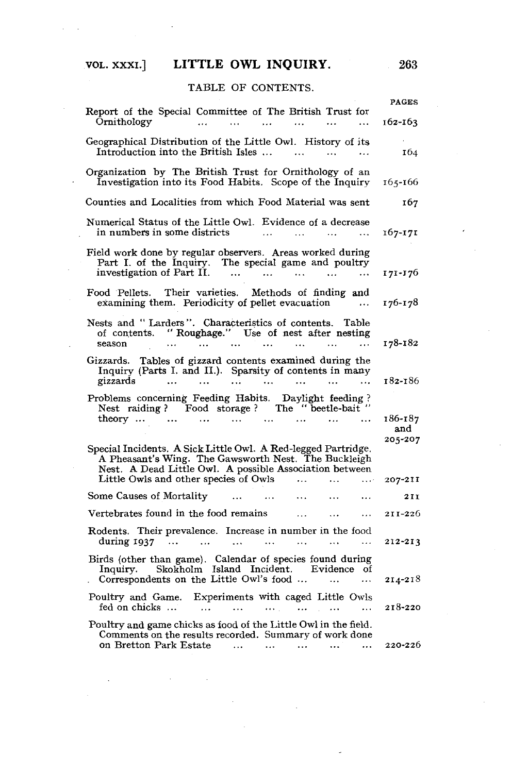# VOL. xxxi.] LITTLE OWL INQUIRY. 263

## TABLE OF CONTENTS.

|                                                                                                                                                                                                                                                                                                                                                                                                                                                                                                                                                                   | <b>PAGES</b>   |
|-------------------------------------------------------------------------------------------------------------------------------------------------------------------------------------------------------------------------------------------------------------------------------------------------------------------------------------------------------------------------------------------------------------------------------------------------------------------------------------------------------------------------------------------------------------------|----------------|
| Report of the Special Committee of The British Trust for<br>Ornithology                                                                                                                                                                                                                                                                                                                                                                                                                                                                                           | $162 - 163$    |
| Geographical Distribution of the Little Owl. History of its<br>Introduction into the British Isles                                                                                                                                                                                                                                                                                                                                                                                                                                                                | 164            |
| Organization by The British Trust for Ornithology of an<br>Investigation into its Food Habits. Scope of the Inquiry                                                                                                                                                                                                                                                                                                                                                                                                                                               | $165 - 166$    |
| Counties and Localities from which Food Material was sent                                                                                                                                                                                                                                                                                                                                                                                                                                                                                                         | 167            |
| Numerical Status of the Little Owl. Evidence of a decrease<br>in numbers in some districts $\cdots$ $\cdots$ $\cdots$ $\cdots$                                                                                                                                                                                                                                                                                                                                                                                                                                    | $167 - 171$    |
| Field work done by regular observers. Areas worked during<br>Part I. of the Inquiry. The special game and poultry investigation of Part II.<br>$\sim$ 100 $\sim$                                                                                                                                                                                                                                                                                                                                                                                                  | $171 - 176$    |
| Food Pellets. Their varieties. Methods of finding and<br>examining them. Periodicity of pellet evacuation                                                                                                                                                                                                                                                                                                                                                                                                                                                         | 176-178        |
| Nests and "Larders". Characteristics of contents. Table                                                                                                                                                                                                                                                                                                                                                                                                                                                                                                           | 178-182        |
| Gizzards. Tables of gizzard contents examined during the<br>Inquiry (Parts I. and II.). Sparsity of contents in many<br>gizzards                                                                                                                                                                                                                                                                                                                                                                                                                                  | 182-186        |
| $\begin{minipage}{.4\linewidth} \textbf{Problems concerning Feeding Habits. Daylight feeding ?} \begin{minipage}{.4\linewidth} \textbf{Test radiing ?} \begin{minipage}{.4\linewidth} \textbf{Food storage ?} \end{minipage} \begin{minipage}{.4\linewidth} \textbf{The ``beetle-bait''} \end{minipage} \begin{minipage}{.4\linewidth} \textbf{C} \end{minipage} \begin{minipage}{.4\linewidth} \textbf{C} \end{minipage} \begin{minipage}{.4\linewidth} \textbf{C} \end{minipage} \begin{minipage}{.4\linewidth} \textbf{C} \end{minipage} \begin{minipage}{.4\$ |                |
|                                                                                                                                                                                                                                                                                                                                                                                                                                                                                                                                                                   | 186-187<br>and |
| Special Incidents. A Sick Little Owl. A Red-legged Partridge.<br>A Pheasant's Wing. The Gawsworth Nest. The Buckleigh<br>Nest. A Dead Little Owl. A possible Association between<br>Little Owls and other species of Owls    207-211                                                                                                                                                                                                                                                                                                                              | 205-207        |
| Some Causes of Mortality<br>$\mathbf{r}$                                                                                                                                                                                                                                                                                                                                                                                                                                                                                                                          | 211            |
| Vertebrates found in the food remains<br>and the company of the company of                                                                                                                                                                                                                                                                                                                                                                                                                                                                                        | 211-226        |
| Rodents. Their prevalence. Increase in number in the food                                                                                                                                                                                                                                                                                                                                                                                                                                                                                                         |                |
| during 1937                                                                                                                                                                                                                                                                                                                                                                                                                                                                                                                                                       | 212-213        |
| Birds (other than game). Calendar of species found during<br>Inquiry. Skokholm Island Incident. Evidence of<br>Correspondents on the Little Owl's food                                                                                                                                                                                                                                                                                                                                                                                                            | $2I4 - 2I8$    |
| Poultry and Game. Experiments with caged Little Owls<br>fed on chicks                                                                                                                                                                                                                                                                                                                                                                                                                                                                                             | 218-220        |
| Poultry and game chicks as food of the Little Owl in the field.<br>Comments on the results recorded. Summary of work done<br>on Bretton Park Estate<br>$\ldots$ . $\ldots$                                                                                                                                                                                                                                                                                                                                                                                        | 220-226        |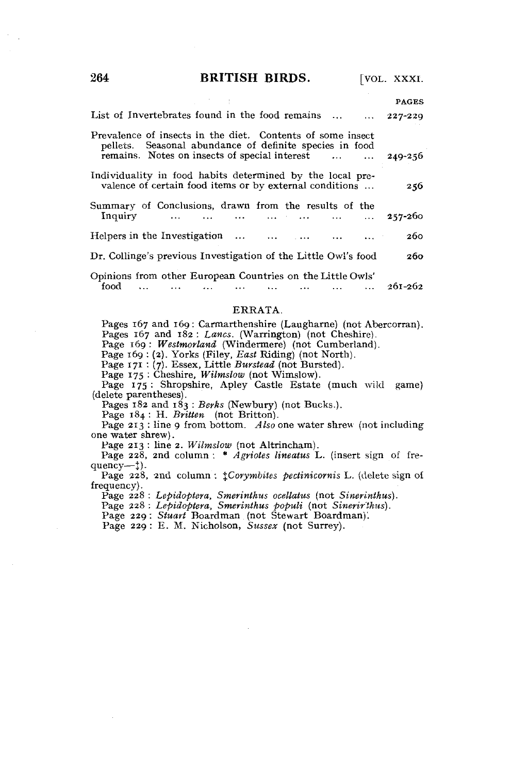264 **BRITISH BIRDS.** [VOL. XXXI.

|                                                                                                                                                                        | <b>PAGES</b> |
|------------------------------------------------------------------------------------------------------------------------------------------------------------------------|--------------|
| List of Invertebrates found in the food remains $\ldots$ 227-229                                                                                                       |              |
| Prevalence of insects in the diet. Contents of some insect<br>pellets. Seasonal abundance of definite species in food<br>remains. Notes on insects of special interest | 249-256      |
| Individuality in food habits determined by the local pre-<br>valence of certain food items or by external conditions                                                   | 256          |
| Summary of Conclusions, drawn from the results of the                                                                                                                  |              |
| Inquiry        257-260                                                                                                                                                 |              |
| Helpers in the Investigation                                                                                                                                           | 260          |
| Dr. Collinge's previous Investigation of the Little Owl's food                                                                                                         | 260          |
| Opinions from other European Countries on the Little Owls'                                                                                                             |              |
| food<br>$\ldots$ $\ldots$ $\ldots$ $261-262$<br><b>Contract Contract Contract</b>                                                                                      |              |

#### ERRATA.

Pages 167 and 169: Carmarthenshire (Laugharne) (not Abercorran). Pages 167 and 182 : *Lanes.* (Warrington) (not Cheshire). Page 169 : *Westmorland* (Windermere) (not Cumberland). Page 169 : (2). Yorks (Filey, *East* Riding) (not North). Page 171 : (7). Essex, Little *Burstead* (not Bursted). Page 175 : Shropshire, *Williams (not Williams)*.<br>Page 175 : Shropshire, Apley Castle Estate (much wild game) (delete parentheses).<br>Pages 182 and 183 : Berks (Newbury) (not Bucks.). Page 184 : H. Britten (not Britton). Page 213 : line 9 from bottom. Also one water shrew (not including e water shrew). one water shrew).<br>Page 213: line 2. Wilmslow (not Altrincham). Page 228, 2nd column: \* *Agriotes lineatus* L. (insert sign of frequency--<sup> $\ddagger$ </sup>).

Page 228, 2nd column:  $\ddagger$ Corymbites pectinicornis L. (delete sign of frequency.

Page 228 : Lepidoptera, Smerinthus ocellatus (not Sinerinthus).

Page 228 : *Lepidoptera, Smerinthus ocellatus* (not *Sinerinthus).* 

Page 228 : *Lepidoptera, Smerinthus populi* (not *Sinerir'thus).* 

Page 229 : *E. M. Nicholson, Sussex* (not Surrey).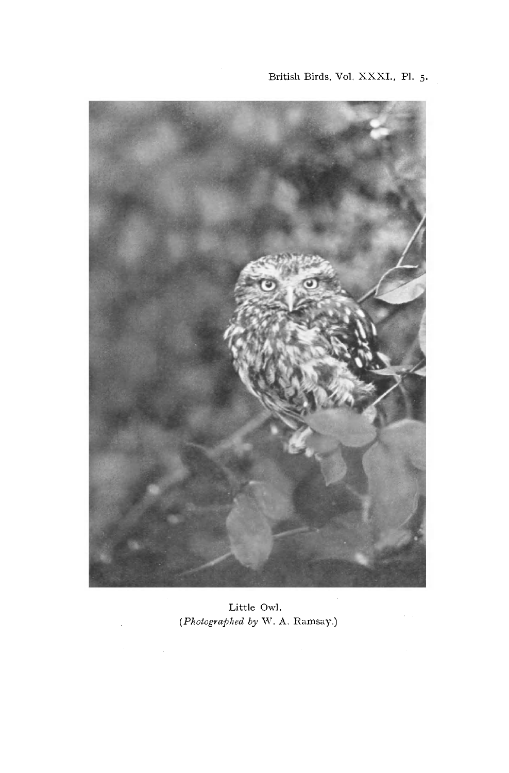

Little Owl. *(Photographed by* W. A. Ramsay.)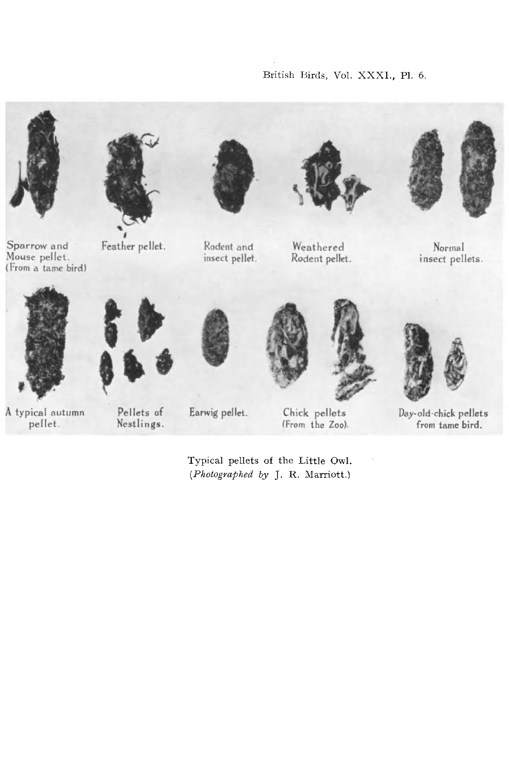



Sparrow and Mouse pellet. (From a tame bird)

Feather pellet.



Rodent and insect pellet.



Weathered Rodent pellet.



Normal insect pellets.



A typical autumn pellet.



Pellets of

Nestlings.



Earwig pellet.

Chick pellets (From the Zoo).

Typical pellets of the Little Owl. *(Photographed by* J. R. Marriott.)



Day-old-chick pellets from tame bird.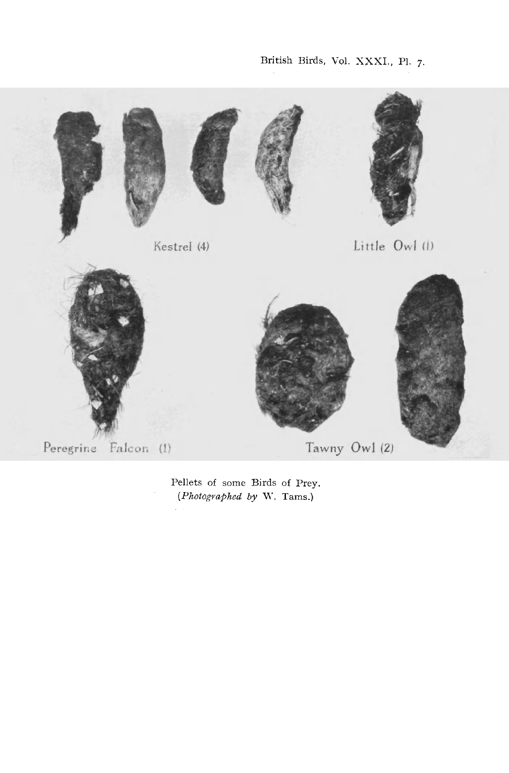British Birds, Vol. XXXI., PI. 7.



Pellets of some Birds of Prey *(Photographed by W. Tams.)*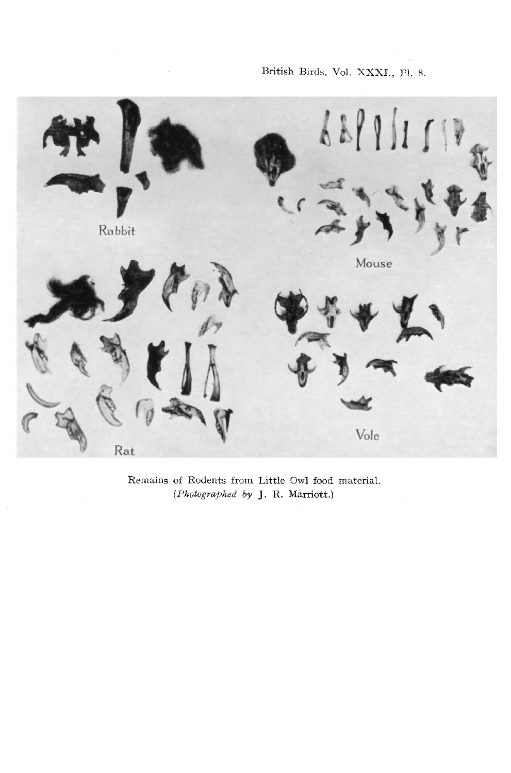# British Birds, Vol. XXXI., PI. 8.



Remains of Rodents from Little Owl food material. *{Photographed by* J. R. Marriott.)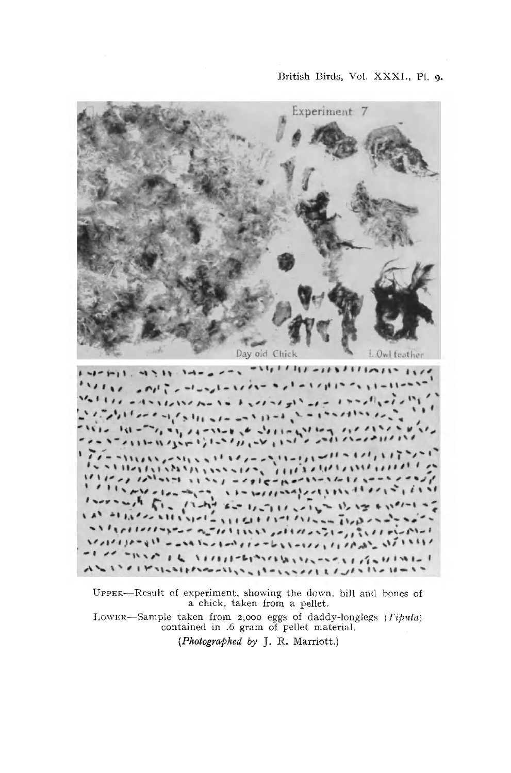

UPPER—Result of experiment, showing the down, bill and bones of a chick, taken from a pellet. LOWER—Sample taken from 2,000 eggs of daddy-longlegs *(Tipula)*  contained in .6 gram of pellet material.

*(Photographed by* J. R. Marriott.)